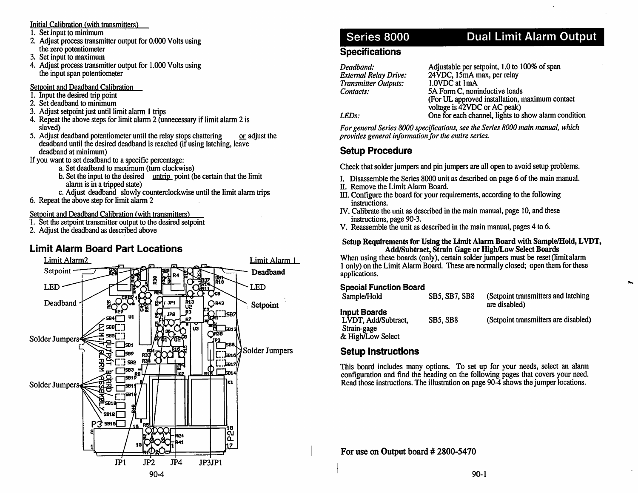### Initial Calibration (with transmitters'^

- 1. Set input to minimum
- 2. Adjust process transmitter output for 0.000 Volts usingthe zero potentiometer
- 3. Set input to maximum
- 4. Adjust process transmitter output for 1.000 Volts usingthe input span potentiometer

Setpoint and Deadband Calibration

- 1. Input the desired trip point
- 2. Set deadband to minimum
- 3. Adjust setpoint just until limit alarm 1 trips
- 4. Repeat the above steps for limit alarm 2 (unnecessary if limit alarm 2 isslaved)
- 5. Adjust deadband potentiometer until the relay stops chattering  $\qquad \underline{\text{or}}$  adjust the deadband until the desired deadband is reached (if using latching, leavedeadband at minimum)
- If you want to set deadband to a specific percentage:
	- a. Set deadband to maximum (turn clockwise)
	- b. Set the input to the desired untrip point (be certain that the limit alarm is in a tripped state)
	- c. Adjust deadband slowly counterclockwise until the limit alarm trips
- 6. Repeat the above step for limit alarm 2

### Setpoint and Deadband Calibration (with transmitters)

- 1. Set the setpoint transmitter output to the desired setpoint
- 2. Adjust the deadband as described above

# Limit Aiarm Board Part Locations



# Series 8000

# Dual Limit Alarm Output

## **Specifications**

| Adjustable per setpoint, 1.0 to 100% of span         |
|------------------------------------------------------|
| 24VDC, 15mA max, per relay                           |
| 1.0VDC at 1mA                                        |
| 5A Form C, noninductive loads                        |
| (For UL approved installation, maximum contact       |
| voltage is 42VDC or AC peak)                         |
| One for each channel, lights to show alarm condition |
|                                                      |

For general Series 8000 specifications, see the Series 8000 main manual, whichprovides general information for the entire series.

# Setup Procedure

Check that solder jumpers and pin jumpers are all open to avoid setup problems.

- I. Disassemble the Series 8000 unit as described on page 6 of the main manual.
- II. Remove the Limit Alarm Board.
- III. Configure the board for your requirements, according to the following instructions.
- rv. Calibrate the unit as described in the main manual, page 10, and theseinstructions, page 90-3.
- V. Reassemble the unit as described in the main manual, pages 4 to 6.

#### Setup Requirements for Using the Limit Alarm Board with Sample/Hold, LVDT,Add/Subtract, Strain Gage or High/Low Select Boards

 When using these boards (only), certain solder jumpers must be reset (limit alarm 1 only) on the Limit Alarm Board. These are normally closed; open them for theseapplications.

### Special Function Board

| Sample/Hold                                               | <b>SB5, SB7, SB8</b> | (Setpoint transmitters and latching)<br>are disabled) |
|-----------------------------------------------------------|----------------------|-------------------------------------------------------|
| <b>Input Boards</b><br>LVDT, Add/Subtract,<br>Strain-gage | SB5, SB8             | (Setpoint transmitters are disabled)                  |
| & High/Low Select                                         |                      |                                                       |

## Setup Instructions

 This board includes many options. To set up for your needs, select an alarm configuration and find the heading on the following pages that covers your need.Read those instructions. The illustration on page 90-4 shows the jumper locations.

For use on Output board # 2800-5470